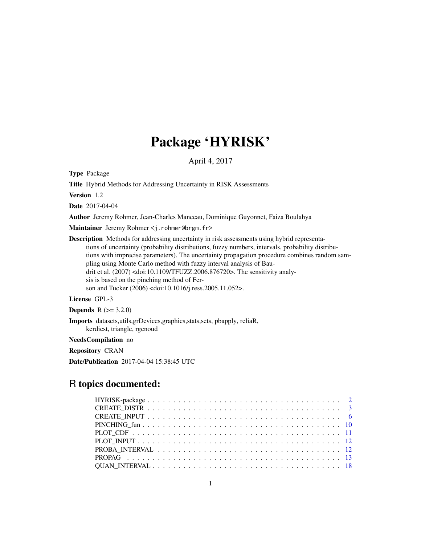# Package 'HYRISK'

April 4, 2017

Type Package

Title Hybrid Methods for Addressing Uncertainty in RISK Assessments

Version 1.2

Date 2017-04-04

Author Jeremy Rohmer, Jean-Charles Manceau, Dominique Guyonnet, Faiza Boulahya

Maintainer Jeremy Rohmer <j.rohmer@brgm.fr>

Description Methods for addressing uncertainty in risk assessments using hybrid representations of uncertainty (probability distributions, fuzzy numbers, intervals, probability distributions with imprecise parameters). The uncertainty propagation procedure combines random sampling using Monte Carlo method with fuzzy interval analysis of Baudrit et al. (2007) <doi:10.1109/TFUZZ.2006.876720>. The sensitivity analysis is based on the pinching method of Ferson and Tucker (2006) <doi:10.1016/j.ress.2005.11.052>.

# License GPL-3

**Depends**  $R (= 3.2.0)$ 

Imports datasets,utils,grDevices,graphics,stats,sets, pbapply, reliaR, kerdiest, triangle, rgenoud

NeedsCompilation no

Repository CRAN

Date/Publication 2017-04-04 15:38:45 UTC

# R topics documented: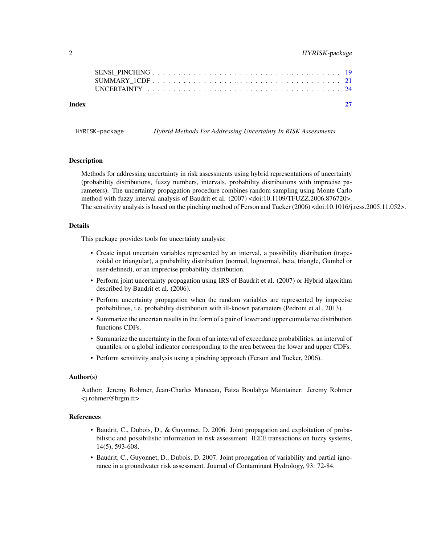<span id="page-1-0"></span>

HYRISK-package *Hybrid Methods For Addressing Uncertainty In RISK Assessments*

#### Description

Methods for addressing uncertainty in risk assessments using hybrid representations of uncertainty (probability distributions, fuzzy numbers, intervals, probability distributions with imprecise parameters). The uncertainty propagation procedure combines random sampling using Monte Carlo method with fuzzy interval analysis of Baudrit et al. (2007) <doi:10.1109/TFUZZ.2006.876720>. The sensitivity analysis is based on the pinching method of Ferson and Tucker (2006) <doi:10.1016/j.ress.2005.11.052>.

#### Details

This package provides tools for uncertainty analysis:

- Create input uncertain variables represented by an interval, a possibility distribution (trapezoidal or triangular), a probability distribution (normal, lognormal, beta, triangle, Gumbel or user-defined), or an imprecise probability distribution.
- Perform joint uncertainty propagation using IRS of Baudrit et al. (2007) or Hybrid algorithm described by Baudrit et al. (2006).
- Perform uncertainty propagation when the random variables are represented by imprecise probabilities, i.e. probability distribution with ill-known parameters (Pedroni et al., 2013).
- Summarize the uncertan results in the form of a pair of lower and upper cumulative distribution functions CDFs.
- Summarize the uncertainty in the form of an interval of exceedance probabilities, an interval of quantiles, or a global indicator corresponding to the area between the lower and upper CDFs.
- Perform sensitivity analysis using a pinching approach (Ferson and Tucker, 2006).

#### Author(s)

Author: Jeremy Rohmer, Jean-Charles Manceau, Faiza Boulahya Maintainer: Jeremy Rohmer <j.rohmer@brgm.fr>

#### References

- Baudrit, C., Dubois, D., & Guyonnet, D. 2006. Joint propagation and exploitation of probabilistic and possibilistic information in risk assessment. IEEE transactions on fuzzy systems, 14(5), 593-608.
- Baudrit, C., Guyonnet, D., Dubois, D. 2007. Joint propagation of variability and partial ignorance in a groundwater risk assessment. Journal of Contaminant Hydrology, 93: 72-84.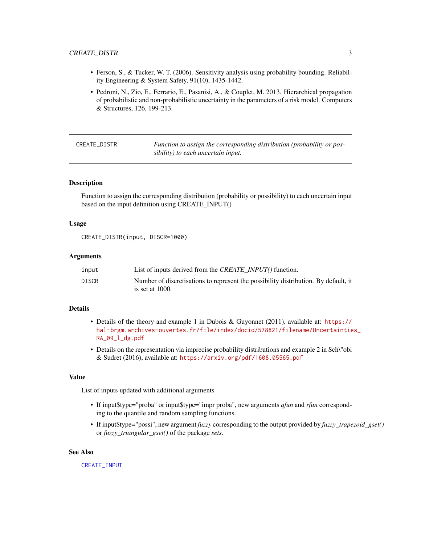# <span id="page-2-0"></span>CREATE\_DISTR 3

- Ferson, S., & Tucker, W. T. (2006). Sensitivity analysis using probability bounding. Reliability Engineering & System Safety, 91(10), 1435-1442.
- Pedroni, N., Zio, E., Ferrario, E., Pasanisi, A., & Couplet, M. 2013. Hierarchical propagation of probabilistic and non-probabilistic uncertainty in the parameters of a risk model. Computers & Structures, 126, 199-213.

<span id="page-2-1"></span>CREATE\_DISTR *Function to assign the corresponding distribution (probability or possibility) to each uncertain input.*

#### Description

Function to assign the corresponding distribution (probability or possibility) to each uncertain input based on the input definition using CREATE\_INPUT()

# Usage

```
CREATE_DISTR(input, DISCR=1000)
```
### Arguments

| input        | List of inputs derived from the <i>CREATE INPUT</i> () function.                                          |
|--------------|-----------------------------------------------------------------------------------------------------------|
| <b>DISCR</b> | Number of discretisations to represent the possibility distribution. By default, it<br>is set at $1000$ . |

#### Details

- Details of the theory and example 1 in Dubois & Guyonnet (2011), available at: [https://](https://hal-brgm.archives-ouvertes.fr/file/index/docid/578821/filename/Uncertainties_RA_09_l_dg.pdf) [hal-brgm.archives-ouvertes.fr/file/index/docid/578821/filename/Uncertaintie](https://hal-brgm.archives-ouvertes.fr/file/index/docid/578821/filename/Uncertainties_RA_09_l_dg.pdf)s\_ [RA\\_09\\_l\\_dg.pdf](https://hal-brgm.archives-ouvertes.fr/file/index/docid/578821/filename/Uncertainties_RA_09_l_dg.pdf)
- Details on the representation via imprecise probability distributions and example 2 in Sch\"obi & Sudret (2016), available at: <https://arxiv.org/pdf/1608.05565.pdf>

#### Value

List of inputs updated with additional arguments

- If input\$type="proba" or input\$type="impr proba", new arguments *qfun* and *rfun* corresponding to the quantile and random sampling functions.
- If input\$type="possi", new argument *fuzzy* corresponding to the output provided by *fuzzy\_trapezoid\_gset()* or *fuzzy\_triangular\_gset()* of the package *sets*.

#### See Also

[CREATE\\_INPUT](#page-5-1)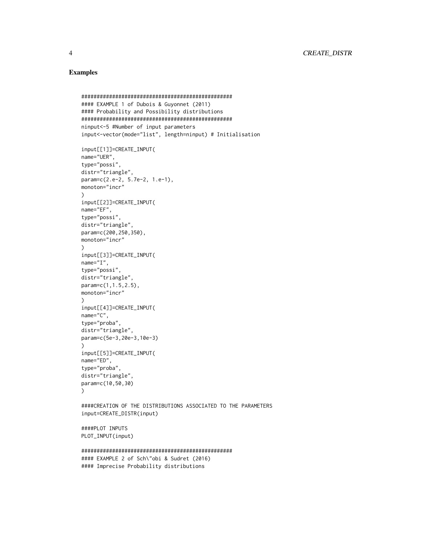# Examples

```
#################################################
#### EXAMPLE 1 of Dubois & Guyonnet (2011)
#### Probability and Possibility distributions
#################################################
ninput<-5 #Number of input parameters
input<-vector(mode="list", length=ninput) # Initialisation
input[[1]]=CREATE_INPUT(
name="UER",
type="possi",
distr="triangle",
param=c(2.e-2, 5.7e-2, 1.e-1),
monoton="incr"
\lambdainput[[2]]=CREATE_INPUT(
name="EF",
type="possi",
distr="triangle",
param=c(200,250,350),
monoton="incr"
\lambdainput[[3]]=CREATE_INPUT(
name="I",
type="possi",
distr="triangle",
param=c(1,1.5,2.5),
monoton="incr"
\lambdainput[[4]]=CREATE_INPUT(
name="C",
type="proba",
distr="triangle",
param=c(5e-3,20e-3,10e-3)
\lambdainput[[5]]=CREATE_INPUT(
name="ED",
type="proba",
distr="triangle",
param=c(10,50,30)
\lambda####CREATION OF THE DISTRIBUTIONS ASSOCIATED TO THE PARAMETERS
input=CREATE_DISTR(input)
####PLOT INPUTS
PLOT_INPUT(input)
#################################################
#### EXAMPLE 2 of Sch\"obi & Sudret (2016)
#### Imprecise Probability distributions
```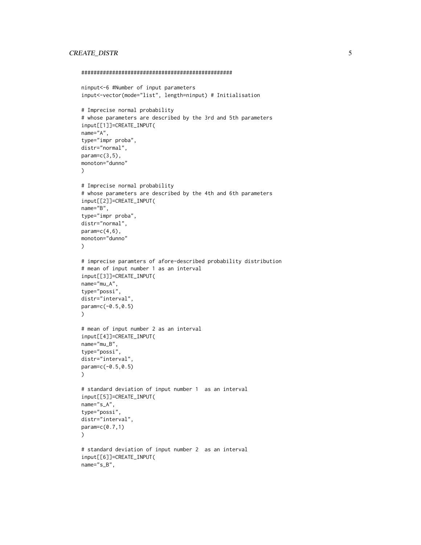# CREATE\_DISTR 5

```
#################################################
ninput<-6 #Number of input parameters
input<-vector(mode="list", length=ninput) # Initialisation
# Imprecise normal probability
# whose parameters are described by the 3rd and 5th parameters
input[[1]]=CREATE_INPUT(
name="A",
type="impr proba",
distr="normal",
param=c(3,5),
monoton="dunno"
)
# Imprecise normal probability
# whose parameters are described by the 4th and 6th parameters
input[[2]]=CREATE_INPUT(
name="B",
type="impr proba",
distr="normal",
param=c(4,6),
monoton="dunno"
)
# imprecise paramters of afore-described probability distribution
# mean of input number 1 as an interval
input[[3]]=CREATE_INPUT(
name="mu_A",
type="possi",
distr="interval",
param=c(-0.5,0.5)
)
# mean of input number 2 as an interval
input[[4]]=CREATE_INPUT(
name="mu_B",
type="possi",
distr="interval"
param=c(-0.5,0.5)
)
# standard deviation of input number 1 as an interval
input[[5]]=CREATE_INPUT(
name="s_A",
type="possi",
distr="interval",
param=c(0.7,1)
\mathcal{L}# standard deviation of input number 2 as an interval
input[[6]]=CREATE_INPUT(
name="s_B",
```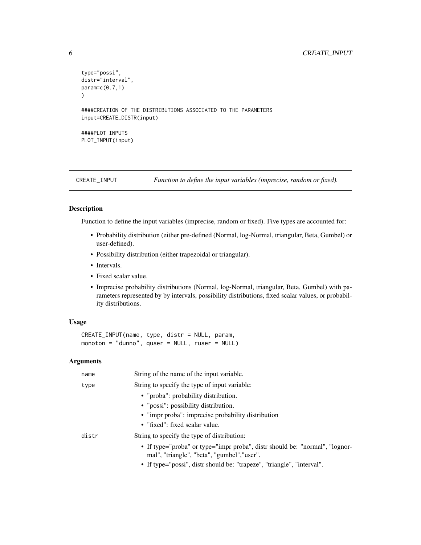```
type="possi",
distr="interval",
param=c(0.7,1)
)
####CREATION OF THE DISTRIBUTIONS ASSOCIATED TO THE PARAMETERS
input=CREATE_DISTR(input)
####PLOT INPUTS
PLOT_INPUT(input)
```
<span id="page-5-1"></span>

CREATE\_INPUT *Function to define the input variables (imprecise, random or fixed).*

# Description

Function to define the input variables (imprecise, random or fixed). Five types are accounted for:

- Probability distribution (either pre-defined (Normal, log-Normal, triangular, Beta, Gumbel) or user-defined).
- Possibility distribution (either trapezoidal or triangular).
- Intervals.
- Fixed scalar value.
- Imprecise probability distributions (Normal, log-Normal, triangular, Beta, Gumbel) with parameters represented by by intervals, possibility distributions, fixed scalar values, or probability distributions.

# Usage

```
CREATE_INPUT(name, type, distr = NULL, param,
monoton = "dunno", quser = NULL, ruser = NULL)
```
#### Arguments

| name  | String of the name of the input variable.                                                                                                                                                            |
|-------|------------------------------------------------------------------------------------------------------------------------------------------------------------------------------------------------------|
| type  | String to specify the type of input variable:                                                                                                                                                        |
|       | • "proba": probability distribution.                                                                                                                                                                 |
|       | • "possi": possibility distribution.                                                                                                                                                                 |
|       | • "impr proba": imprecise probability distribution                                                                                                                                                   |
|       | • "fixed": fixed scalar value.                                                                                                                                                                       |
| distr | String to specify the type of distribution:                                                                                                                                                          |
|       | • If type="proba" or type="impr proba", distr should be: "normal", "lognor-<br>mal", "triangle", "beta", "gumbel", "user".<br>• If type="possi", distr should be: "trapeze", "triangle", "interval". |
|       |                                                                                                                                                                                                      |

<span id="page-5-0"></span>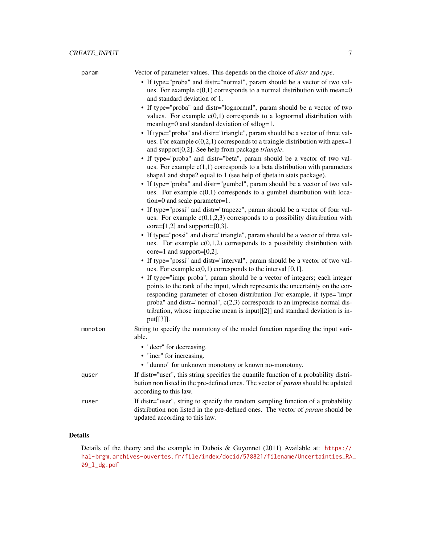| param   | Vector of parameter values. This depends on the choice of <i>distr</i> and type.                                                                                                                                                                                                                                                                                                                                 |
|---------|------------------------------------------------------------------------------------------------------------------------------------------------------------------------------------------------------------------------------------------------------------------------------------------------------------------------------------------------------------------------------------------------------------------|
|         | • If type="proba" and distr="normal", param should be a vector of two val-                                                                                                                                                                                                                                                                                                                                       |
|         | ues. For example $c(0,1)$ corresponds to a normal distribution with mean=0                                                                                                                                                                                                                                                                                                                                       |
|         | and standard deviation of 1.                                                                                                                                                                                                                                                                                                                                                                                     |
|         | • If type="proba" and distr="lognormal", param should be a vector of two<br>values. For example $c(0,1)$ corresponds to a lognormal distribution with<br>meanlog=0 and standard deviation of sdlog=1.                                                                                                                                                                                                            |
|         | • If type="proba" and distr="triangle", param should be a vector of three val-<br>ues. For example $c(0,2,1)$ corresponds to a traingle distribution with apex=1<br>and support[0,2]. See help from package triangle.                                                                                                                                                                                            |
|         | • If type="proba" and distr="beta", param should be a vector of two val-<br>ues. For example $c(1,1)$ corresponds to a beta distribution with parameters<br>shape1 and shape2 equal to 1 (see help of qbeta in stats package).                                                                                                                                                                                   |
|         | • If type="proba" and distr="gumbel", param should be a vector of two val-<br>ues. For example $c(0,1)$ corresponds to a gumbel distribution with loca-<br>tion=0 and scale parameter=1.                                                                                                                                                                                                                         |
|         | • If type="possi" and distr="trapeze", param should be a vector of four val-<br>ues. For example $c(0,1,2,3)$ corresponds to a possibility distribution with<br>$core=[1,2]$ and support= $[0,3]$ .                                                                                                                                                                                                              |
|         | • If type="possi" and distr="triangle", param should be a vector of three val-<br>ues. For example $c(0,1,2)$ corresponds to a possibility distribution with<br>core=1 and support= $[0,2]$ .                                                                                                                                                                                                                    |
|         | • If type="possi" and distr="interval", param should be a vector of two val-<br>ues. For example $c(0,1)$ corresponds to the interval [0,1].                                                                                                                                                                                                                                                                     |
|         | • If type="impr proba", param should be a vector of integers; each integer<br>points to the rank of the input, which represents the uncertainty on the cor-<br>responding parameter of chosen distribution For example, if type="impr<br>proba" and distr="normal", $c(2,3)$ corresponds to an imprecise normal dis-<br>tribution, whose imprecise mean is input[[2]] and standard deviation is in-<br>put[[3]]. |
| monoton | String to specify the monotony of the model function regarding the input vari-<br>able.                                                                                                                                                                                                                                                                                                                          |
|         | • "decr" for decreasing.                                                                                                                                                                                                                                                                                                                                                                                         |
|         | • "incr" for increasing.                                                                                                                                                                                                                                                                                                                                                                                         |
|         | • "dunno" for unknown monotony or known no-monotony.                                                                                                                                                                                                                                                                                                                                                             |
| quser   | If distr="user", this string specifies the quantile function of a probability distri-<br>bution non listed in the pre-defined ones. The vector of param should be updated<br>according to this law.                                                                                                                                                                                                              |
| ruser   | If distr="user", string to specify the random sampling function of a probability<br>distribution non listed in the pre-defined ones. The vector of param should be<br>updated according to this law.                                                                                                                                                                                                             |

# Details

Details of the theory and the example in Dubois & Guyonnet (2011) Available at: [https://](https://hal-brgm.archives-ouvertes.fr/file/index/docid/578821/filename/Uncertainties_RA_09_l_dg.pdf) [hal-brgm.archives-ouvertes.fr/file/index/docid/578821/filename/Uncertainties\\_RA\\_](https://hal-brgm.archives-ouvertes.fr/file/index/docid/578821/filename/Uncertainties_RA_09_l_dg.pdf) [09\\_l\\_dg.pdf](https://hal-brgm.archives-ouvertes.fr/file/index/docid/578821/filename/Uncertainties_RA_09_l_dg.pdf)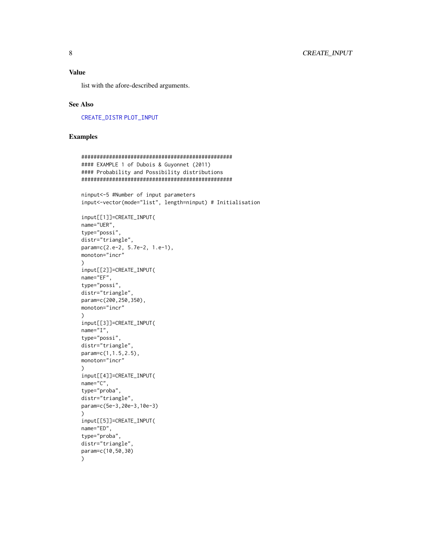# <span id="page-7-0"></span>Value

list with the afore-described arguments.

# See Also

[CREATE\\_DISTR](#page-2-1) [PLOT\\_INPUT](#page-11-1)

# Examples

```
#################################################
#### EXAMPLE 1 of Dubois & Guyonnet (2011)
#### Probability and Possibility distributions
#################################################
ninput<-5 #Number of input parameters
input<-vector(mode="list", length=ninput) # Initialisation
input[[1]]=CREATE_INPUT(
name="UER",
type="possi",
distr="triangle",
param=c(2.e-2, 5.7e-2, 1.e-1),
monoton="incr"
\mathcal{L}input[[2]]=CREATE_INPUT(
name="EF",
type="possi",
distr="triangle",
param=c(200,250,350),
monoton="incr"
)
input[[3]]=CREATE_INPUT(
name="I",
type="possi",
distr="triangle",
param=c(1,1.5,2.5),
monoton="incr"
\lambdainput[[4]]=CREATE_INPUT(
name="C",
type="proba",
distr="triangle",
param=c(5e-3,20e-3,10e-3)
)
input[[5]]=CREATE_INPUT(
name="ED",
type="proba",
distr="triangle",
param=c(10,50,30)
\lambda
```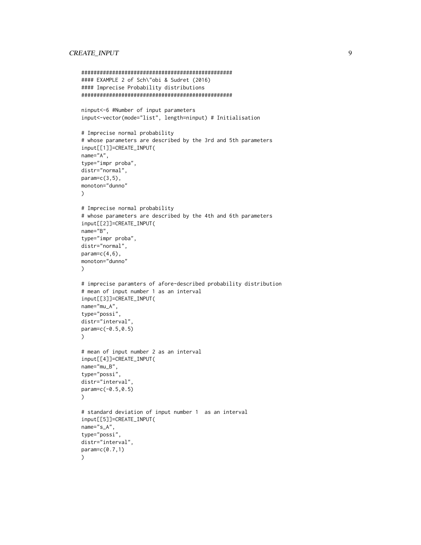# CREATE\_INPUT 9

```
#################################################
#### EXAMPLE 2 of Sch\"obi & Sudret (2016)
#### Imprecise Probability distributions
#################################################
ninput<-6 #Number of input parameters
input<-vector(mode="list", length=ninput) # Initialisation
# Imprecise normal probability
# whose parameters are described by the 3rd and 5th parameters
input[[1]]=CREATE_INPUT(
name="A",
type="impr proba",
distr="normal",
param=c(3,5),
monoton="dunno"
\lambda# Imprecise normal probability
# whose parameters are described by the 4th and 6th parameters
input[[2]]=CREATE_INPUT(
name="B",
type="impr proba",
distr="normal",
param=c(4,6),
monoton="dunno"
\lambda# imprecise paramters of afore-described probability distribution
# mean of input number 1 as an interval
input[[3]]=CREATE_INPUT(
name="mu_A",
type="possi",
distr="interval",
param=c(-0.5,0.5)
\mathcal{L}# mean of input number 2 as an interval
input[[4]]=CREATE_INPUT(
name="mu_B",
type="possi",
distr="interval"
param=c(-0.5,0.5)
\lambda# standard deviation of input number 1 as an interval
input[[5]]=CREATE_INPUT(
name="s_A",
type="possi",
distr="interval",
param=c(0.7,1)
)
```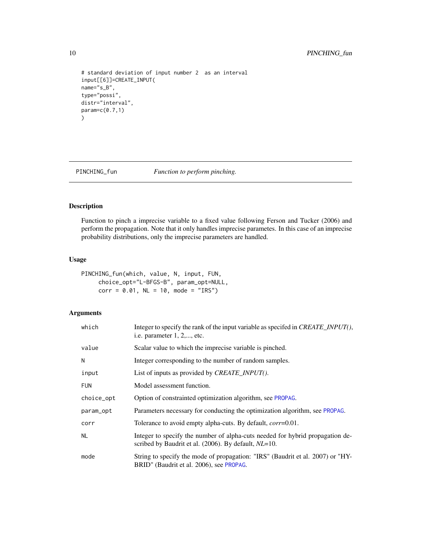```
# standard deviation of input number 2 as an interval
input[[6]]=CREATE_INPUT(
name="s_B",
type="possi",
distr="interval",
param=c(0.7,1)
\mathcal{L}
```
<span id="page-9-1"></span>PINCHING\_fun *Function to perform pinching.*

# Description

Function to pinch a imprecise variable to a fixed value following Ferson and Tucker (2006) and perform the propagation. Note that it only handles imprecise parametes. In this case of an imprecise probability distributions, only the imprecise parameters are handled.

#### Usage

```
PINCHING_fun(which, value, N, input, FUN,
     choice_opt="L-BFGS-B", param_opt=NULL,
     corr = 0.01, NL = 10, mode = "IRS")
```
# Arguments

| which      | Integer to specify the rank of the input variable as specifed in <i>CREATE_INPUT</i> (),<br>i.e. parameter $1, 2, \ldots$ , etc.              |
|------------|-----------------------------------------------------------------------------------------------------------------------------------------------|
| value      | Scalar value to which the imprecise variable is pinched.                                                                                      |
| N          | Integer corresponding to the number of random samples.                                                                                        |
| input      | List of inputs as provided by <i>CREATE_INPUT</i> ().                                                                                         |
| <b>FUN</b> | Model assessment function.                                                                                                                    |
| choice_opt | Option of constrainted optimization algorithm, see PROPAG.                                                                                    |
| param_opt  | Parameters necessary for conducting the optimization algorithm, see PROPAG.                                                                   |
| corr       | Tolerance to avoid empty alpha-cuts. By default, <i>corr</i> =0.01.                                                                           |
| NL         | Integer to specify the number of alpha-cuts needed for hybrid propagation de-<br>scribed by Baudrit et al. (2006). By default, <i>NL</i> =10. |
| mode       | String to specify the mode of propagation: "IRS" (Baudrit et al. 2007) or "HY-<br>BRID" (Baudrit et al. 2006), see PROPAG.                    |

<span id="page-9-0"></span>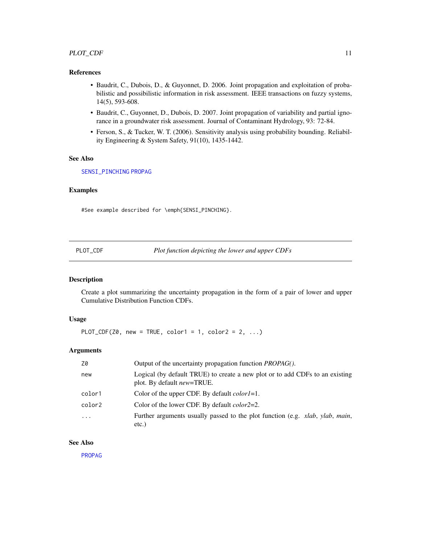# <span id="page-10-0"></span>PLOT\_CDF 11

# References

- Baudrit, C., Dubois, D., & Guyonnet, D. 2006. Joint propagation and exploitation of probabilistic and possibilistic information in risk assessment. IEEE transactions on fuzzy systems, 14(5), 593-608.
- Baudrit, C., Guyonnet, D., Dubois, D. 2007. Joint propagation of variability and partial ignorance in a groundwater risk assessment. Journal of Contaminant Hydrology, 93: 72-84.
- Ferson, S., & Tucker, W. T. (2006). Sensitivity analysis using probability bounding. Reliability Engineering & System Safety, 91(10), 1435-1442.

# See Also

### [SENSI\\_PINCHING](#page-18-1) [PROPAG](#page-12-1)

#### Examples

#See example described for \emph{SENSI\_PINCHING}.

<span id="page-10-1"></span>

|  | PLOT CDF |  |
|--|----------|--|
|  |          |  |

Plot function depicting the lower and upper CDFs

# Description

Create a plot summarizing the uncertainty propagation in the form of a pair of lower and upper Cumulative Distribution Function CDFs.

# Usage

```
PLOT_CDF(Z0, new = TRUE, color1 = 1, color2 = 2, \ldots)
```
#### Arguments

| Z0         | Output of the uncertainty propagation function <i>PROPAG</i> ().                                                   |
|------------|--------------------------------------------------------------------------------------------------------------------|
| new        | Logical (by default TRUE) to create a new plot or to add CDFs to an existing<br>plot. By default <i>new</i> =TRUE. |
| color1     | Color of the upper CDF. By default <i>color1</i> =1.                                                               |
| color2     | Color of the lower CDF. By default <i>color</i> 2=2.                                                               |
| $\ddots$ . | Further arguments usually passed to the plot function (e.g. <i>xlab</i> , <i>ylab</i> , <i>main</i> ,<br>$etc.$ )  |

# See Also

[PROPAG](#page-12-1)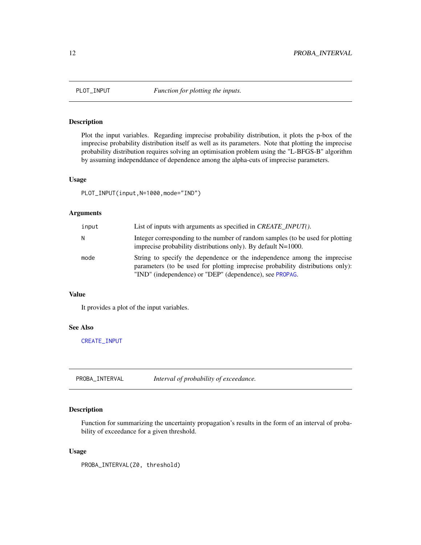<span id="page-11-1"></span><span id="page-11-0"></span>

# Description

Plot the input variables. Regarding imprecise probability distribution, it plots the p-box of the imprecise probability distribution itself as well as its parameters. Note that plotting the imprecise probability distribution requires solving an optimisation problem using the "L-BFGS-B" algorithm by assuming independdance of dependence among the alpha-cuts of imprecise parameters.

#### Usage

```
PLOT_INPUT(input,N=1000,mode="IND")
```
# Arguments

| input | List of inputs with arguments as specified in <i>CREATE INPUT</i> ().                                                                                                                                                 |
|-------|-----------------------------------------------------------------------------------------------------------------------------------------------------------------------------------------------------------------------|
| Ν     | Integer corresponding to the number of random samples (to be used for plotting<br>imprecise probability distributions only). By default $N=1000$ .                                                                    |
| mode  | String to specify the dependence or the independence among the imprecise<br>parameters (to be used for plotting imprecise probability distributions only):<br>"IND" (independence) or "DEP" (dependence), see PROPAG. |

#### Value

It provides a plot of the input variables.

# See Also

[CREATE\\_INPUT](#page-5-1)

<span id="page-11-2"></span>PROBA\_INTERVAL *Interval of probability of exceedance.*

# Description

Function for summarizing the uncertainty propagation's results in the form of an interval of probability of exceedance for a given threshold.

#### Usage

PROBA\_INTERVAL(Z0, threshold)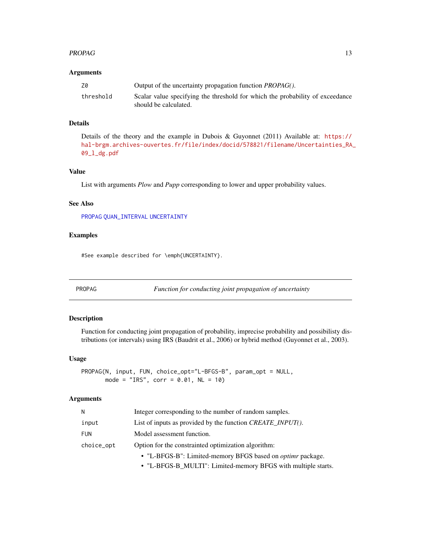#### <span id="page-12-0"></span>PROPAG 23

#### **Arguments**

| Ζ0        | Output of the uncertainty propagation function <i>PROPAG</i> ().                                       |
|-----------|--------------------------------------------------------------------------------------------------------|
| threshold | Scalar value specifying the threshold for which the probability of exceedance<br>should be calculated. |

#### Details

Details of the theory and the example in Dubois & Guyonnet (2011) Available at: [https://](https://hal-brgm.archives-ouvertes.fr/file/index/docid/578821/filename/Uncertainties_RA_09_l_dg.pdf) [hal-brgm.archives-ouvertes.fr/file/index/docid/578821/filename/Uncertainties\\_RA\\_](https://hal-brgm.archives-ouvertes.fr/file/index/docid/578821/filename/Uncertainties_RA_09_l_dg.pdf) [09\\_l\\_dg.pdf](https://hal-brgm.archives-ouvertes.fr/file/index/docid/578821/filename/Uncertainties_RA_09_l_dg.pdf)

# Value

List with arguments *Plow* and *Pupp* corresponding to lower and upper probability values.

# See Also

[PROPAG](#page-12-1) [QUAN\\_INTERVAL](#page-17-1) [UNCERTAINTY](#page-23-1)

# Examples

#See example described for \emph{UNCERTAINTY}.

<span id="page-12-1"></span>PROPAG *Function for conducting joint propagation of uncertainty*

# Description

Function for conducting joint propagation of probability, imprecise probability and possibilisty distributions (or intervals) using IRS (Baudrit et al., 2006) or hybrid method (Guyonnet et al., 2003).

#### Usage

PROPAG(N, input, FUN, choice\_opt="L-BFGS-B", param\_opt = NULL, mode =  $"IRS"$ , corr = 0.01, NL = 10)

# Arguments

| N          | Integer corresponding to the number of random samples.             |
|------------|--------------------------------------------------------------------|
| input      | List of inputs as provided by the function <i>CREATE INPUT</i> (). |
| <b>FUN</b> | Model assessment function.                                         |
| choice_opt | Option for the constrainted optimization algorithm:                |
|            | • "L-BFGS-B": Limited-memory BFGS based on <i>optimr</i> package.  |

• "L-BFGS-B\_MULTI": Limited-memory BFGS with multiple starts.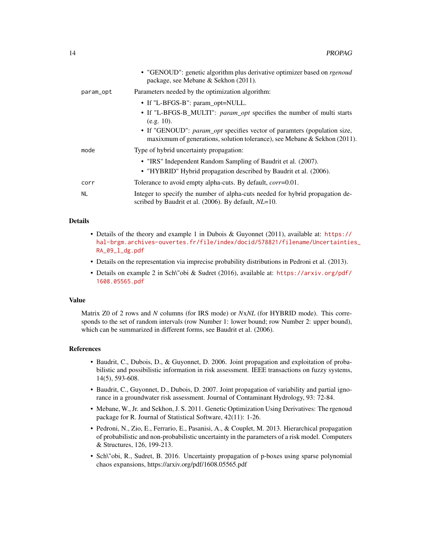|           | • "GENOUD": genetic algorithm plus derivative optimizer based on <i>rgenoud</i><br>package, see Mebane & Sekhon (2011).                                                                                       |
|-----------|---------------------------------------------------------------------------------------------------------------------------------------------------------------------------------------------------------------|
| param_opt | Parameters needed by the optimization algorithm:                                                                                                                                                              |
|           | • If "L-BFGS-B": param_opt=NULL.<br>• If "L-BFGS-B_MULTI": param_opt specifies the number of multi starts<br>$(e.g. 10)$ .<br>• If "GENOUD": <i>param_opt</i> specifies vector of paramters (population size, |
| mode      | maxixmum of generations, solution tolerance), see Mebane & Sekhon $(2011)$ .<br>Type of hybrid uncertainty propagation:                                                                                       |
|           | • "IRS" Independent Random Sampling of Baudrit et al. (2007).<br>• "HYBRID" Hybrid propagation described by Baudrit et al. (2006).                                                                            |
| corr      | Tolerance to avoid empty alpha-cuts. By default, <i>corr</i> =0.01.                                                                                                                                           |
| <b>NL</b> | Integer to specify the number of alpha-cuts needed for hybrid propagation de-<br>scribed by Baudrit et al. (2006). By default, <i>NL</i> =10.                                                                 |

# Details

- Details of the theory and example 1 in Dubois & Guyonnet (2011), available at: [https://](https://hal-brgm.archives-ouvertes.fr/file/index/docid/578821/filename/Uncertainties_RA_09_l_dg.pdf) [hal-brgm.archives-ouvertes.fr/file/index/docid/578821/filename/Uncertaintie](https://hal-brgm.archives-ouvertes.fr/file/index/docid/578821/filename/Uncertainties_RA_09_l_dg.pdf)s\_ [RA\\_09\\_l\\_dg.pdf](https://hal-brgm.archives-ouvertes.fr/file/index/docid/578821/filename/Uncertainties_RA_09_l_dg.pdf)
- Details on the representation via imprecise probability distributions in Pedroni et al. (2013).
- Details on example 2 in Sch\"obi & Sudret (2016), available at: [https://arxiv.org/pdf/](https://arxiv.org/pdf/1608.05565.pdf) [1608.05565.pdf](https://arxiv.org/pdf/1608.05565.pdf)

#### Value

Matrix Z0 of 2 rows and *N* columns (for IRS mode) or *N*x*NL* (for HYBRID mode). This corresponds to the set of random intervals (row Number 1: lower bound; row Number 2: upper bound), which can be summarized in different forms, see Baudrit et al. (2006).

#### References

- Baudrit, C., Dubois, D., & Guyonnet, D. 2006. Joint propagation and exploitation of probabilistic and possibilistic information in risk assessment. IEEE transactions on fuzzy systems, 14(5), 593-608.
- Baudrit, C., Guyonnet, D., Dubois, D. 2007. Joint propagation of variability and partial ignorance in a groundwater risk assessment. Journal of Contaminant Hydrology, 93: 72-84.
- Mebane, W., Jr. and Sekhon, J. S. 2011. Genetic Optimization Using Derivatives: The rgenoud package for R. Journal of Statistical Software, 42(11): 1-26.
- Pedroni, N., Zio, E., Ferrario, E., Pasanisi, A., & Couplet, M. 2013. Hierarchical propagation of probabilistic and non-probabilistic uncertainty in the parameters of a risk model. Computers & Structures, 126, 199-213.
- Sch\"obi, R., Sudret, B. 2016. Uncertainty propagation of p-boxes using sparse polynomial chaos expansions, https://arxiv.org/pdf/1608.05565.pdf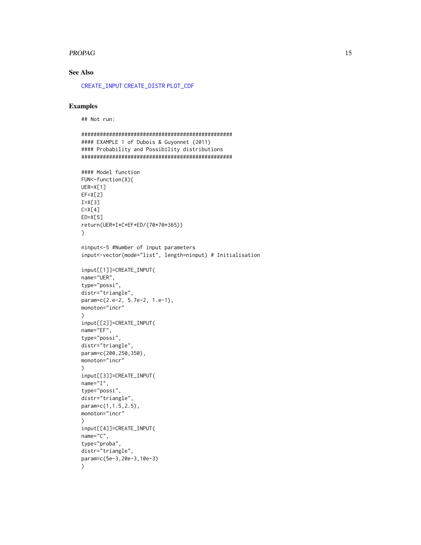#### <span id="page-14-0"></span>PROPAG 2.15

# See Also

[CREATE\\_INPUT](#page-5-1) [CREATE\\_DISTR](#page-2-1) [PLOT\\_CDF](#page-10-1)

# Examples

)

## Not run:

```
#################################################
#### EXAMPLE 1 of Dubois & Guyonnet (2011)
#### Probability and Possibility distributions
#################################################
#### Model function
FUN<-function(X){
UER=X[1]
EF=X[2]I=X[3]C=X[4]ED=X[5]
return(UER*I*C*EF*ED/(70*70*365))
}
ninput<-5 #Number of input parameters
input<-vector(mode="list", length=ninput) # Initialisation
input[[1]]=CREATE_INPUT(
name="UER",
type="possi",
distr="triangle",
param=c(2.e-2, 5.7e-2, 1.e-1),
monoton="incr"
)
input[[2]]=CREATE_INPUT(
name="EF",
type="possi",
distr="triangle",
param=c(200,250,350),
monoton="incr"
\lambdainput[[3]]=CREATE_INPUT(
name="I",
type="possi",
distr="triangle",
param=c(1,1.5,2.5),
monoton="incr"
\lambdainput[[4]]=CREATE_INPUT(
name="C",
type="proba",
distr="triangle",
param=c(5e-3,20e-3,10e-3)
```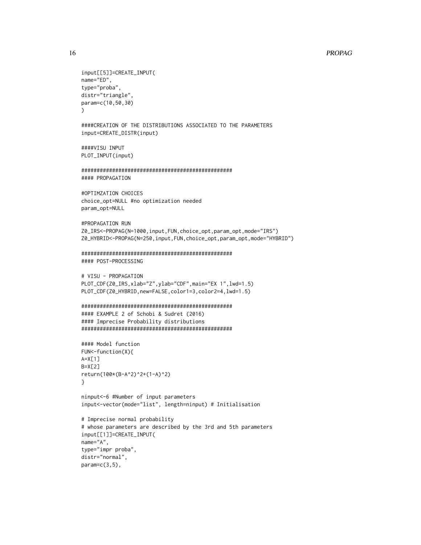#### 16 **PROPAGE 2012 PROPAGE 2013**

```
input[[5]]=CREATE_INPUT(
name="ED",
type="proba",
distr="triangle",
param=c(10,50,30)
\lambda####CREATION OF THE DISTRIBUTIONS ASSOCIATED TO THE PARAMETERS
input=CREATE_DISTR(input)
####VISU INPUT
PLOT_INPUT(input)
```

```
#################################################
#### PROPAGATION
```

```
#OPTIMZATION CHOICES
choice_opt=NULL #no optimization needed
param_opt=NULL
```

```
#PROPAGATION RUN
Z0_IRS<-PROPAG(N=1000,input,FUN,choice_opt,param_opt,mode="IRS")
Z0_HYBRID<-PROPAG(N=250,input,FUN,choice_opt,param_opt,mode="HYBRID")
```

```
#################################################
#### POST-PROCESSING
```

```
# VISU - PROPAGATION
PLOT_CDF(Z0_IRS,xlab="Z",ylab="CDF",main="EX 1",lwd=1.5)
PLOT_CDF(Z0_HYBRID,new=FALSE,color1=3,color2=4,lwd=1.5)
```

```
#################################################
#### EXAMPLE 2 of Schobi & Sudret (2016)
#### Imprecise Probability distributions
#################################################
```

```
#### Model function
FUN<-function(X){
A=X[1]
B=X[2]return(100*(B-A^2)^2+(1-A)^2)
}
```

```
ninput<-6 #Number of input parameters
input<-vector(mode="list", length=ninput) # Initialisation
```

```
# Imprecise normal probability
# whose parameters are described by the 3rd and 5th parameters
input[[1]]=CREATE_INPUT(
name="A",
type="impr proba",
distr="normal",
param=c(3,5),
```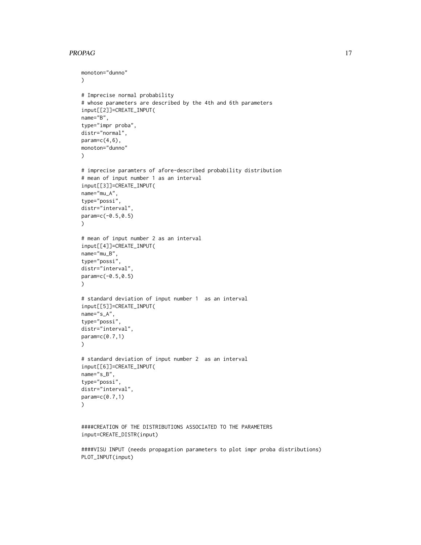#### PROPAG 17

```
monoton="dunno"
\lambda# Imprecise normal probability
# whose parameters are described by the 4th and 6th parameters
input[[2]]=CREATE_INPUT(
name="B",
type="impr proba",
distr="normal",
param=c(4,6),
monoton="dunno"
)
# imprecise paramters of afore-described probability distribution
# mean of input number 1 as an interval
input[[3]]=CREATE_INPUT(
name="mu_A",
type="possi",
distr="interval",
param=c(-0.5,0.5)
\mathcal{L}# mean of input number 2 as an interval
input[[4]]=CREATE_INPUT(
name="mu_B",
type="possi",
distr="interval",
param=c(-0.5,0.5)
\lambda# standard deviation of input number 1 as an interval
input[[5]]=CREATE_INPUT(
name="s_A",
type="possi",
distr="interval",
param=c(0.7,1)
\lambda# standard deviation of input number 2 as an interval
input[[6]]=CREATE_INPUT(
name="s_B",
type="possi",
distr="interval",
param=c(0.7,1)
\mathcal{L}####CREATION OF THE DISTRIBUTIONS ASSOCIATED TO THE PARAMETERS
input=CREATE_DISTR(input)
```
####VISU INPUT (needs propagation parameters to plot impr proba distributions) PLOT\_INPUT(input)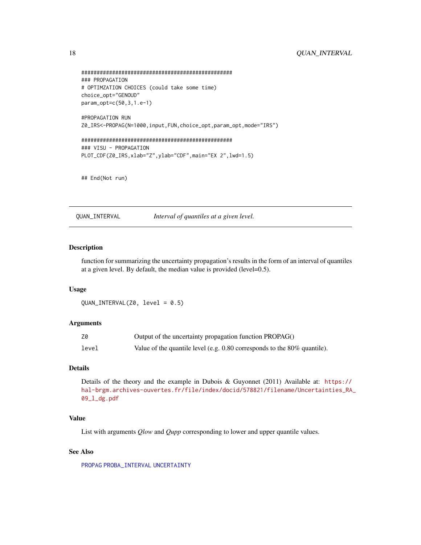```
#################################################
### PROPAGATION
# OPTIMZATION CHOICES (could take some time)
choice_opt="GENOUD"
param_opt=c(50,3,1.e-1)
```
#PROPAGATION RUN Z0\_IRS<-PROPAG(N=1000,input,FUN,choice\_opt,param\_opt,mode="IRS")

```
#################################################
### VISU - PROPAGATION
PLOT_CDF(Z0_IRS,xlab="Z",ylab="CDF",main="EX 2",lwd=1.5)
```
## End(Not run)

<span id="page-17-1"></span>QUAN\_INTERVAL *Interval of quantiles at a given level.*

# Description

function for summarizing the uncertainty propagation's results in the form of an interval of quantiles at a given level. By default, the median value is provided (level=0.5).

#### Usage

QUAN\_INTERVAL(Z0, level = 0.5)

#### Arguments

| Z0    | Output of the uncertainty propagation function PROPAG()                       |
|-------|-------------------------------------------------------------------------------|
| level | Value of the quantile level (e.g. $0.80$ corresponds to the $80\%$ quantile). |

# Details

Details of the theory and the example in Dubois & Guyonnet (2011) Available at: [https://](https://hal-brgm.archives-ouvertes.fr/file/index/docid/578821/filename/Uncertainties_RA_09_l_dg.pdf) [hal-brgm.archives-ouvertes.fr/file/index/docid/578821/filename/Uncertainties\\_RA\\_](https://hal-brgm.archives-ouvertes.fr/file/index/docid/578821/filename/Uncertainties_RA_09_l_dg.pdf) [09\\_l\\_dg.pdf](https://hal-brgm.archives-ouvertes.fr/file/index/docid/578821/filename/Uncertainties_RA_09_l_dg.pdf)

# Value

List with arguments *Qlow* and *Qupp* corresponding to lower and upper quantile values.

#### See Also

[PROPAG](#page-12-1) [PROBA\\_INTERVAL](#page-11-2) [UNCERTAINTY](#page-23-1)

<span id="page-17-0"></span>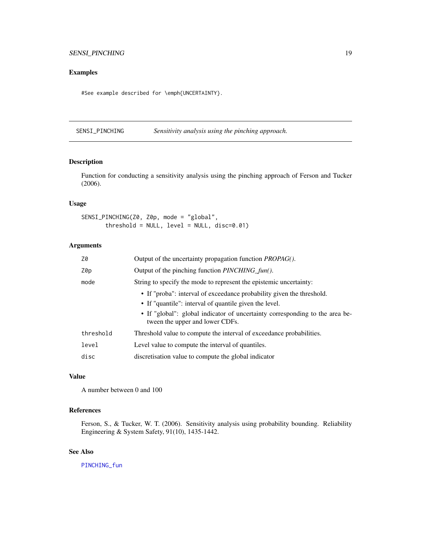# <span id="page-18-0"></span>Examples

#See example described for \emph{UNCERTAINTY}.

<span id="page-18-1"></span>SENSI\_PINCHING *Sensitivity analysis using the pinching approach.*

#### Description

Function for conducting a sensitivity analysis using the pinching approach of Ferson and Tucker (2006).

# Usage

SENSI\_PINCHING(Z0, Z0p, mode = "global", threshold = NULL, level = NULL, disc=0.01)

# Arguments

| Z0        | Output of the uncertainty propagation function <i>PROPAG</i> ().                                                |
|-----------|-----------------------------------------------------------------------------------------------------------------|
| Z0p       | Output of the pinching function <i>PINCHING_fun()</i> .                                                         |
| mode      | String to specify the mode to represent the epistemic uncertainty:                                              |
|           | • If "proba": interval of exceedance probability given the threshold.                                           |
|           | • If "quantile": interval of quantile given the level.                                                          |
|           | • If "global": global indicator of uncertainty corresponding to the area be-<br>tween the upper and lower CDFs. |
| threshold | Threshold value to compute the interval of exceedance probabilities.                                            |
| level     | Level value to compute the interval of quantiles.                                                               |
| disc      | discretisation value to compute the global indicator                                                            |

# Value

A number between 0 and 100

# References

Ferson, S., & Tucker, W. T. (2006). Sensitivity analysis using probability bounding. Reliability Engineering & System Safety, 91(10), 1435-1442.

# See Also

[PINCHING\\_fun](#page-9-1)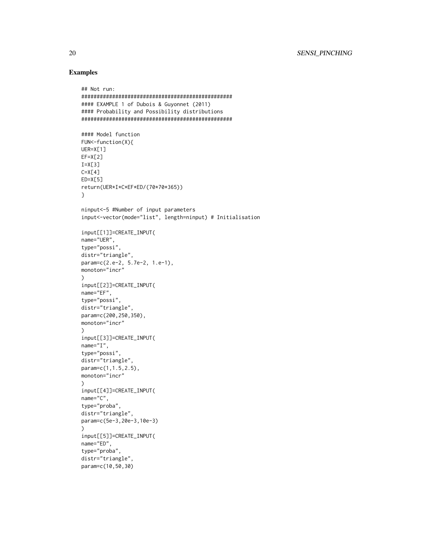# Examples

```
## Not run:
#################################################
#### EXAMPLE 1 of Dubois & Guyonnet (2011)
#### Probability and Possibility distributions
#################################################
#### Model function
FUN<-function(X){
UER=X[1]
EF=X[2]I=X[3]C=X[4]ED=X[5]
return(UER*I*C*EF*ED/(70*70*365))
}
ninput<-5 #Number of input parameters
input<-vector(mode="list", length=ninput) # Initialisation
input[[1]]=CREATE_INPUT(
name="UER",
type="possi",
distr="triangle",
param=c(2.e-2, 5.7e-2, 1.e-1),
monoton="incr"
\lambdainput[[2]]=CREATE_INPUT(
name="EF",
type="possi",
distr="triangle",
param=c(200,250,350),
monoton="incr"
)
input[[3]]=CREATE_INPUT(
name="I",
type="possi",
distr="triangle",
param=c(1,1.5,2.5),
monoton="incr"
\lambdainput[[4]]=CREATE_INPUT(
name="C",
type="proba",
distr="triangle",
param=c(5e-3,20e-3,10e-3)
\lambdainput[[5]]=CREATE_INPUT(
name="ED",
type="proba",
distr="triangle",
param=c(10,50,30)
```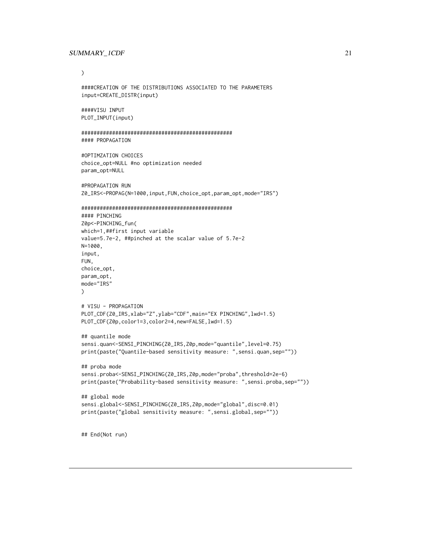#### <span id="page-20-0"></span>SUMMARY\_1CDF 21

#### )

```
####CREATION OF THE DISTRIBUTIONS ASSOCIATED TO THE PARAMETERS
input=CREATE_DISTR(input)
```
####VISU INPUT PLOT\_INPUT(input)

```
#################################################
#### PROPAGATION
```

```
#OPTIMZATION CHOICES
choice_opt=NULL #no optimization needed
param_opt=NULL
```

```
#PROPAGATION RUN
Z0_IRS<-PROPAG(N=1000,input,FUN,choice_opt,param_opt,mode="IRS")
```

```
#################################################
#### PINCHING
Z0p<-PINCHING_fun(
which=1,##first input variable
value=5.7e-2, ##pinched at the scalar value of 5.7e-2
N=1000,
input,
FUN,
choice_opt,
param_opt,
mode="IRS"
\lambda# VISU - PROPAGATION
PLOT_CDF(Z0_IRS,xlab="Z",ylab="CDF",main="EX PINCHING",lwd=1.5)
PLOT_CDF(Z0p,color1=3,color2=4,new=FALSE,lwd=1.5)
## quantile mode
sensi.quan<-SENSI_PINCHING(Z0_IRS,Z0p,mode="quantile",level=0.75)
print(paste("Quantile-based sensitivity measure: ",sensi.quan,sep=""))
## proba mode
sensi.proba<-SENSI_PINCHING(Z0_IRS,Z0p,mode="proba",threshold=2e-6)
print(paste("Probability-based sensitivity measure: ",sensi.proba,sep=""))
```

```
## global mode
sensi.global<-SENSI_PINCHING(Z0_IRS,Z0p,mode="global",disc=0.01)
print(paste("global sensitivity measure: ",sensi.global,sep=""))
```
## End(Not run)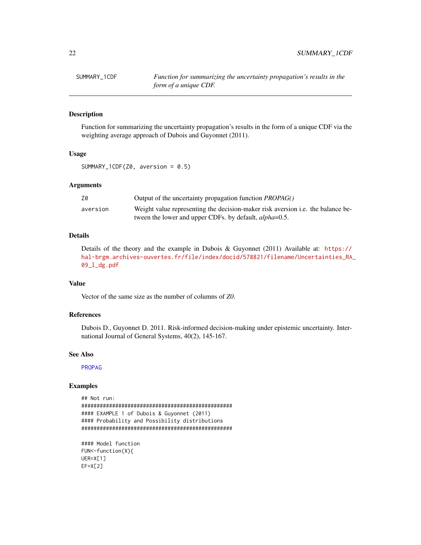# Description

Function for summarizing the uncertainty propagation's results in the form of a unique CDF via the weighting average approach of Dubois and Guyonnet (2011).

# Usage

SUMMARY\_1CDF(Z0, aversion = 0.5)

# Arguments

| Z0       | Output of the uncertainty propagation function <i>PROPAG</i> ()                 |
|----------|---------------------------------------------------------------------------------|
| aversion | Weight value representing the decision-maker risk aversion i.e. the balance be- |
|          | tween the lower and upper CDFs. by default, <i>alpha</i> =0.5.                  |

# Details

Details of the theory and the example in Dubois & Guyonnet (2011) Available at: [https://](https://hal-brgm.archives-ouvertes.fr/file/index/docid/578821/filename/Uncertainties_RA_09_l_dg.pdf) [hal-brgm.archives-ouvertes.fr/file/index/docid/578821/filename/Uncertainties\\_RA\\_](https://hal-brgm.archives-ouvertes.fr/file/index/docid/578821/filename/Uncertainties_RA_09_l_dg.pdf) [09\\_l\\_dg.pdf](https://hal-brgm.archives-ouvertes.fr/file/index/docid/578821/filename/Uncertainties_RA_09_l_dg.pdf)

# Value

Vector of the same size as the number of columns of *Z0*.

# References

Dubois D., Guyonnet D. 2011. Risk-informed decision-making under epistemic uncertainty. International Journal of General Systems, 40(2), 145-167.

#### See Also

[PROPAG](#page-12-1)

# Examples

```
## Not run:
#################################################
#### EXAMPLE 1 of Dubois & Guyonnet (2011)
#### Probability and Possibility distributions
#################################################
#### Model function
```

```
FUN<-function(X){
UER=X[1]
EF=X[2]
```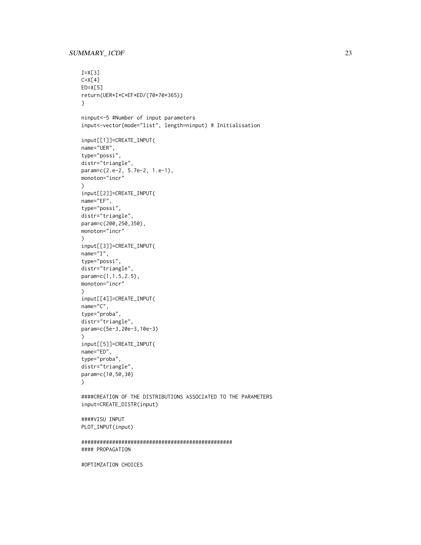## SUMMARY\_ICDF 23

```
I=X[3]C=X[4]ED=X[5]
return(UER*I*C*EF*ED/(70*70*365))
}
ninput<-5 #Number of input parameters
input<-vector(mode="list", length=ninput) # Initialisation
input[[1]]=CREATE_INPUT(
name="UER",
type="possi",
distr="triangle",
param=c(2.e-2, 5.7e-2, 1.e-1),
monoton="incr"
\suminput[[2]]=CREATE_INPUT(
name="EF",
type="possi",
distr="triangle",
param=c(200,250,350),
monoton="incr"
\lambdainput[[3]]=CREATE_INPUT(
name="I",
type="possi",
distr="triangle",
param=c(1,1.5,2.5),
monoton="incr"
\lambdainput[[4]]=CREATE_INPUT(
name="C",
type="proba",
distr="triangle",
param=c(5e-3,20e-3,10e-3)
\lambdainput[[5]]=CREATE_INPUT(
name="ED",
type="proba",
distr="triangle",
param=c(10,50,30)
\mathcal{L}####CREATION OF THE DISTRIBUTIONS ASSOCIATED TO THE PARAMETERS
input=CREATE_DISTR(input)
####VISU INPUT
PLOT_INPUT(input)
#################################################
#### PROPAGATION
```
#OPTIMZATION CHOICES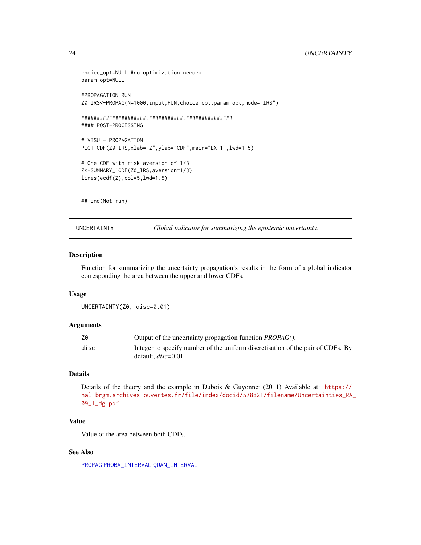# <span id="page-23-0"></span>24 UNCERTAINTY

```
choice_opt=NULL #no optimization needed
param_opt=NULL
#PROPAGATION RUN
Z0_IRS<-PROPAG(N=1000,input,FUN,choice_opt,param_opt,mode="IRS")
#################################################
#### POST-PROCESSING
# VISU - PROPAGATION
PLOT_CDF(Z0_IRS,xlab="Z",ylab="CDF",main="EX 1",lwd=1.5)
# One CDF with risk aversion of 1/3
Z<-SUMMARY_1CDF(Z0_IRS,aversion=1/3)
lines(ecdf(Z),col=5,lwd=1.5)
```
## End(Not run)

<span id="page-23-1"></span>UNCERTAINTY *Global indicator for summarizing the epistemic uncertainty.*

# Description

Function for summarizing the uncertainty propagation's results in the form of a global indicator corresponding the area between the upper and lower CDFs.

#### Usage

```
UNCERTAINTY(Z0, disc=0.01)
```
# Arguments

| Z0   | Output of the uncertainty propagation function <i>PROPAG</i> ().                                        |
|------|---------------------------------------------------------------------------------------------------------|
| disc | Integer to specify number of the uniform discretisation of the pair of CDFs. By<br>default. $disc=0.01$ |

#### Details

Details of the theory and the example in Dubois & Guyonnet (2011) Available at: [https://](https://hal-brgm.archives-ouvertes.fr/file/index/docid/578821/filename/Uncertainties_RA_09_l_dg.pdf) [hal-brgm.archives-ouvertes.fr/file/index/docid/578821/filename/Uncertainties\\_RA\\_](https://hal-brgm.archives-ouvertes.fr/file/index/docid/578821/filename/Uncertainties_RA_09_l_dg.pdf) [09\\_l\\_dg.pdf](https://hal-brgm.archives-ouvertes.fr/file/index/docid/578821/filename/Uncertainties_RA_09_l_dg.pdf)

# Value

Value of the area between both CDFs.

#### See Also

[PROPAG](#page-12-1) [PROBA\\_INTERVAL](#page-11-2) [QUAN\\_INTERVAL](#page-17-1)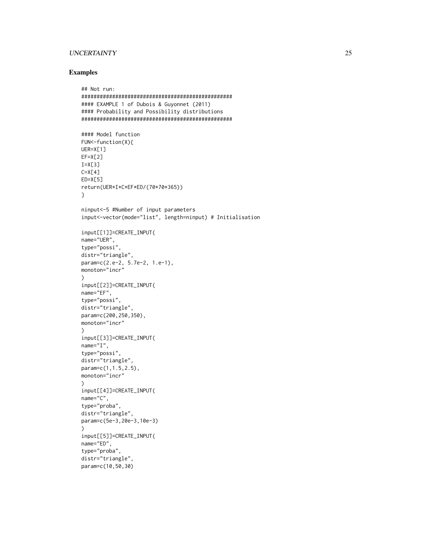# UNCERTAINTY 25

## Examples

```
## Not run:
#################################################
#### EXAMPLE 1 of Dubois & Guyonnet (2011)
#### Probability and Possibility distributions
#################################################
#### Model function
FUN<-function(X){
UER=X[1]
EF=X[2]I=X[3]C=X[4]ED=X[5]
return(UER*I*C*EF*ED/(70*70*365))
}
ninput<-5 #Number of input parameters
input<-vector(mode="list", length=ninput) # Initialisation
input[[1]]=CREATE_INPUT(
name="UER",
type="possi",
distr="triangle",
param=c(2.e-2, 5.7e-2, 1.e-1),
monoton="incr"
\lambdainput[[2]]=CREATE_INPUT(
name="EF",
type="possi",
distr="triangle",
param=c(200,250,350),
monoton="incr"
)
input[[3]]=CREATE_INPUT(
name="I",
type="possi",
distr="triangle",
param=c(1,1.5,2.5),
monoton="incr"
\lambdainput[[4]]=CREATE_INPUT(
name="C",
type="proba",
distr="triangle",
param=c(5e-3,20e-3,10e-3)
\lambdainput[[5]]=CREATE_INPUT(
name="ED",
type="proba",
distr="triangle",
param=c(10,50,30)
```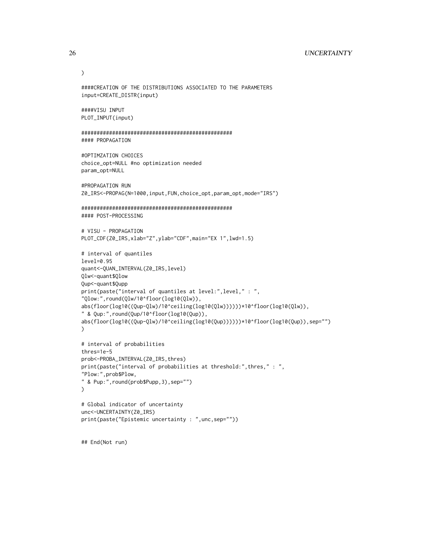## 26 UNCERTAINTY

```
)
```

```
input=CREATE_DISTR(input)
####VISU INPUT
PLOT_INPUT(input)
#################################################
#### PROPAGATION
#OPTIMZATION CHOICES
choice_opt=NULL #no optimization needed
param_opt=NULL
#PROPAGATION RUN
Z0_IRS<-PROPAG(N=1000,input,FUN,choice_opt,param_opt,mode="IRS")
#################################################
#### POST-PROCESSING
# VISU - PROPAGATION
PLOT_CDF(Z0_IRS,xlab="Z",ylab="CDF",main="EX 1",lwd=1.5)
# interval of quantiles
level=0.95
quant<-QUAN_INTERVAL(Z0_IRS,level)
Qlw<-quant$Qlow
Qup<-quant$Qupp
print(paste("interval of quantiles at level:",level," : ",
"Qlow:",round(Qlw/10^floor(log10(Qlw)),
abs(floor(log10((Qup-Qlw)/10^ceiling(log10(Qlw))))))*10^floor(log10(Qlw)),
" & Qup:",round(Qup/10^floor(log10(Qup)),
abs(floor(log10((Qup-Qlw)/10^ceiling(log10(Qup))))))*10^floor(log10(Qup)),sep="")
)
# interval of probabilities
thres=1e-5
prob<-PROBA_INTERVAL(Z0_IRS,thres)
print(paste("interval of probabilities at threshold:",thres," : ",
"Plow:",prob$Plow,
" & Pup:",round(prob$Pupp,3),sep="")
\lambda# Global indicator of uncertainty
unc<-UNCERTAINTY(Z0_IRS)
print(paste("Epistemic uncertainty : ",unc,sep=""))
```
####CREATION OF THE DISTRIBUTIONS ASSOCIATED TO THE PARAMETERS

## End(Not run)